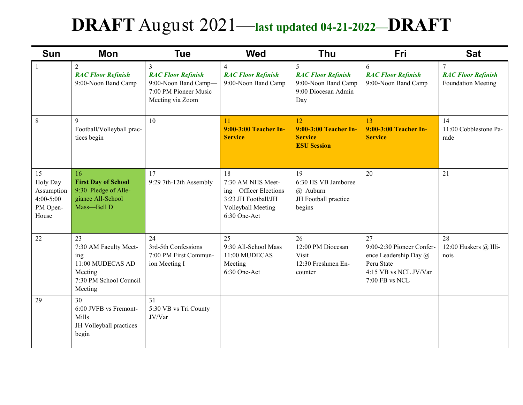## **DRAFT** August 2021—**last updated 04-21-2022—DRAFT**

| <b>Sun</b>                                                         | Mon                                                                                                    | <b>Tue</b>                                                                                                       | <b>Wed</b>                                                                                                    | <b>Thu</b>                                                                                        | Fri                                                                                                               | <b>Sat</b>                                           |
|--------------------------------------------------------------------|--------------------------------------------------------------------------------------------------------|------------------------------------------------------------------------------------------------------------------|---------------------------------------------------------------------------------------------------------------|---------------------------------------------------------------------------------------------------|-------------------------------------------------------------------------------------------------------------------|------------------------------------------------------|
| $\mathbf{1}$                                                       | $\overline{2}$<br><b>RAC Floor Refinish</b><br>9:00-Noon Band Camp                                     | $\overline{3}$<br><b>RAC Floor Refinish</b><br>9:00-Noon Band Camp-<br>7:00 PM Pioneer Music<br>Meeting via Zoom | $\overline{4}$<br><b>RAC Floor Refinish</b><br>9:00-Noon Band Camp                                            | $5\overline{)}$<br><b>RAC Floor Refinish</b><br>9:00-Noon Band Camp<br>9:00 Diocesan Admin<br>Day | 6<br><b>RAC Floor Refinish</b><br>9:00-Noon Band Camp                                                             | 7<br><b>RAC Floor Refinish</b><br>Foundation Meeting |
| $\,8\,$                                                            | 9<br>Football/Volleyball prac-<br>tices begin                                                          | 10                                                                                                               | 11<br>9:00-3:00 Teacher In-<br><b>Service</b>                                                                 | 12<br>9:00-3:00 Teacher In-<br><b>Service</b><br><b>ESU Session</b>                               | 13<br>9:00-3:00 Teacher In-<br><b>Service</b>                                                                     | 14<br>11:00 Cobblestone Pa-<br>rade                  |
| 15<br>Holy Day<br>Assumption<br>$4:00 - 5:00$<br>PM Open-<br>House | 16<br><b>First Day of School</b><br>9:30 Pledge of Alle-<br>giance All-School<br>Mass-Bell D           | 17<br>9:29 7th-12th Assembly                                                                                     | 18<br>7:30 AM NHS Meet-<br>ing-Officer Elections<br>3:23 JH Football/JH<br>Volleyball Meeting<br>6:30 One-Act | 19<br>6:30 HS VB Jamboree<br>@ Auburn<br>JH Football practice<br>begins                           | 20                                                                                                                | 21                                                   |
| 22                                                                 | 23<br>7:30 AM Faculty Meet-<br>ing<br>11:00 MUDECAS AD<br>Meeting<br>7:30 PM School Council<br>Meeting | 24<br>3rd-5th Confessions<br>7:00 PM First Commun-<br>ion Meeting I                                              | 25<br>9:30 All-School Mass<br>11:00 MUDECAS<br>Meeting<br>6:30 One-Act                                        | 26<br>12:00 PM Diocesan<br>Visit<br>12:30 Freshmen En-<br>counter                                 | 27<br>9:00-2:30 Pioneer Confer-<br>ence Leadership Day @<br>Peru State<br>4:15 VB vs NCL JV/Var<br>7:00 FB vs NCL | 28<br>12:00 Huskers @ Illi-<br>nois                  |
| 29                                                                 | 30<br>6:00 JVFB vs Fremont-<br>Mills<br>JH Volleyball practices<br>begin                               | 31<br>5:30 VB vs Tri County<br>JV/Var                                                                            |                                                                                                               |                                                                                                   |                                                                                                                   |                                                      |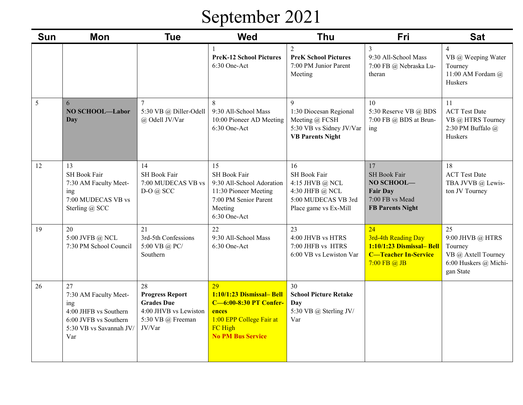# September 2021

| <b>Sun</b> | <b>Mon</b>                                                                                                             | <b>Tue</b>                                                                                                | <b>Wed</b>                                                                                                                                  | <b>Thu</b>                                                                                               | Fri                                                                                                      | <b>Sat</b>                                                                                       |
|------------|------------------------------------------------------------------------------------------------------------------------|-----------------------------------------------------------------------------------------------------------|---------------------------------------------------------------------------------------------------------------------------------------------|----------------------------------------------------------------------------------------------------------|----------------------------------------------------------------------------------------------------------|--------------------------------------------------------------------------------------------------|
|            |                                                                                                                        |                                                                                                           | <b>PreK-12 School Pictures</b><br>6:30 One-Act                                                                                              | $\overline{2}$<br><b>PreK School Pictures</b><br>7:00 PM Junior Parent<br>Meeting                        | 3<br>9:30 All-School Mass<br>7:00 FB @ Nebraska Lu-<br>theran                                            | $\overline{4}$<br>VB @ Weeping Water<br>Tourney<br>11:00 AM Fordam @<br>Huskers                  |
| 5          | 6<br>NO SCHOOL-Labor<br>Day                                                                                            | $\tau$<br>5:30 VB @ Diller-Odell<br>@ Odell JV/Var                                                        | 8<br>9:30 All-School Mass<br>10:00 Pioneer AD Meeting<br>6:30 One-Act                                                                       | 9<br>1:30 Diocesan Regional<br>Meeting @ FCSH<br>5:30 VB vs Sidney JV/Var<br><b>VB Parents Night</b>     | 10<br>5:30 Reserve VB @ BDS<br>7:00 FB @ BDS at Brun-<br>ing                                             | 11<br><b>ACT Test Date</b><br>VB @ HTRS Tourney<br>2:30 PM Buffalo @<br>Huskers                  |
| 12         | 13<br>SH Book Fair<br>7:30 AM Faculty Meet-<br>ing<br>7:00 MUDECAS VB vs<br>Sterling @ SCC                             | 14<br>SH Book Fair<br>7:00 MUDECAS VB vs<br>$D-O @$ SCC                                                   | 15<br>SH Book Fair<br>9:30 All-School Adoration<br>11:30 Pioneer Meeting<br>7:00 PM Senior Parent<br>Meeting<br>6:30 One-Act                | 16<br>SH Book Fair<br>4:15 JHVB @ NCL<br>4:30 JHFB @ NCL<br>5:00 MUDECAS VB 3rd<br>Place game vs Ex-Mill | 17<br>SH Book Fair<br>NO SCHOOL-<br><b>Fair Day</b><br>7:00 FB vs Mead<br><b>FB Parents Night</b>        | 18<br><b>ACT</b> Test Date<br>TBA JVVB @ Lewis-<br>ton JV Tourney                                |
| 19         | 20<br>5:00 JVFB @ NCL<br>7:30 PM School Council                                                                        | 21<br>3rd-5th Confessions<br>5:00 VB @ PC/<br>Southern                                                    | 22<br>9:30 All-School Mass<br>6:30 One-Act                                                                                                  | 23<br>4:00 JHVB vs HTRS<br>7:00 JHFB vs HTRS<br>6:00 VB vs Lewiston Var                                  | 24<br>3rd-4th Reading Day<br>1:10/1:23 Dismissal-Bell<br><b>C-Teacher In-Service</b><br>$7:00$ FB $@$ JB | 25<br>9:00 JHVB $@$ HTRS<br>Tourney<br>VB @ Axtell Tourney<br>6:00 Huskers @ Michi-<br>gan State |
| 26         | 27<br>7:30 AM Faculty Meet-<br>ing<br>4:00 JHFB vs Southern<br>6:00 JVFB vs Southern<br>5:30 VB vs Savannah JV/<br>Var | 28<br><b>Progress Report</b><br><b>Grades Due</b><br>4:00 JHVB vs Lewiston<br>5:30 VB @ Freeman<br>JV/Var | 29<br>1:10/1:23 Dismissal-Bell<br><b>C-6:00-8:30 PT Confer-</b><br>ences<br>1:00 EPP College Fair at<br>FC High<br><b>No PM Bus Service</b> | 30<br><b>School Picture Retake</b><br>Day<br>5:30 VB @ Sterling JV/<br>Var                               |                                                                                                          |                                                                                                  |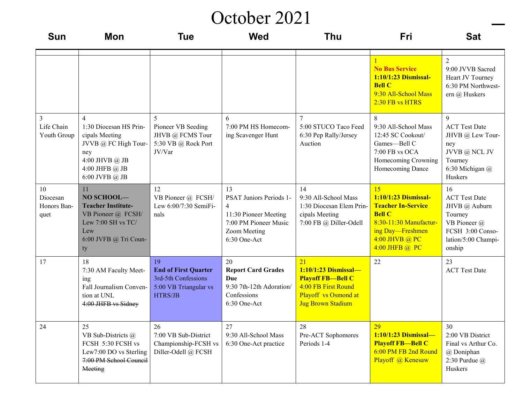#### October 2021

| <b>Sun</b>                                  | Mon                                                                                                                                                 | <b>Tue</b>                                                                                   | <b>Wed</b>                                                                                                                        | <b>Thu</b>                                                                                                                          | Fri                                                                                                                                                        | <b>Sat</b>                                                                                                                  |
|---------------------------------------------|-----------------------------------------------------------------------------------------------------------------------------------------------------|----------------------------------------------------------------------------------------------|-----------------------------------------------------------------------------------------------------------------------------------|-------------------------------------------------------------------------------------------------------------------------------------|------------------------------------------------------------------------------------------------------------------------------------------------------------|-----------------------------------------------------------------------------------------------------------------------------|
|                                             |                                                                                                                                                     |                                                                                              |                                                                                                                                   |                                                                                                                                     | <b>No Bus Service</b><br>1:10/1:23 Dismissal-<br><b>Bell C</b><br>9:30 All-School Mass<br>2:30 FB vs HTRS                                                  | 9:00 JVVB Sacred<br>Heart JV Tourney<br>6:30 PM Northwest-<br>ern @ Huskers                                                 |
| $\mathfrak{Z}$<br>Life Chain<br>Youth Group | $\overline{4}$<br>1:30 Diocesan HS Prin-<br>cipals Meeting<br>JVVB @ FC High Tour-<br>ney<br>4:00 JHVB $@$ JB<br>4:00 JHFB $@$ JB<br>6:00 JVFB @ JB | 5<br>Pioneer VB Seeding<br>JHVB @ FCMS Tour<br>5:30 VB @ Rock Port<br>JV/Var                 | 6<br>7:00 PM HS Homecom-<br>ing Scavenger Hunt                                                                                    | $\tau$<br>5:00 STUCO Taco Feed<br>6:30 Pep Rally/Jersey<br>Auction                                                                  | 8<br>9:30 All-School Mass<br>12:45 SC Cookout/<br>Games-Bell C<br>7:00 FB vs OCA<br>Homecoming Crowning<br>Homecoming Dance                                | 9<br><b>ACT Test Date</b><br>JHVB @ Lew Tour-<br>ney<br>JVVB @ NCL JV<br>Tourney<br>6:30 Michigan @<br>Huskers              |
| 10<br>Diocesan<br>Honors Ban-<br>quet       | 11<br>NO SCHOOL-<br><b>Teacher Institute-</b><br>VB Pioneer @ FCSH/<br>Lew $7:00$ SH vs TC/<br>Lew<br>6:00 JVFB @ Tri Coun-<br>ty                   | 12<br>VB Pioneer @ FCSH/<br>Lew 6:00/7:30 SemiFi-<br>nals                                    | 13<br>PSAT Juniors Periods 1-<br>$\overline{4}$<br>11:30 Pioneer Meeting<br>7:00 PM Pioneer Music<br>Zoom Meeting<br>6:30 One-Act | 14<br>9:30 All-School Mass<br>1:30 Diocesan Elem Prin-<br>cipals Meeting<br>7:00 FB @ Diller-Odell                                  | 15<br>1:10/1:23 Dismissal-<br><b>Teacher In-Service</b><br><b>Bell C</b><br>8:30-11:30 Manufactur-<br>ing Day-Freshmen<br>4:00 JHVB @ PC<br>4:00 JHFB @ PC | 16<br><b>ACT Test Date</b><br>JHVB @ Auburn<br>Tourney<br>VB Pioneer @<br>FCSH 3:00 Conso-<br>lation/5:00 Champi-<br>onship |
| 17                                          | 18<br>7:30 AM Faculty Meet-<br>ing<br>Fall Journalism Conven-<br>tion at UNL<br>4:00 JHFB vs Sidney                                                 | 19<br><b>End of First Quarter</b><br>3rd-5th Confessions<br>5:00 VB Triangular vs<br>HTRS/JB | 20<br><b>Report Card Grades</b><br>Due<br>9:30 7th-12th Adoration/<br>Confessions<br>6:30 One-Act                                 | 21<br>$1:10/1:23$ Dismissal-<br><b>Playoff FB-Bell C</b><br>4:00 FB First Round<br>Playoff vs Osmond at<br><b>Jug Brown Stadium</b> | 22                                                                                                                                                         | 23<br><b>ACT</b> Test Date                                                                                                  |
| 24                                          | 25<br>VB Sub-Districts @<br>FCSH 5:30 FCSH vs<br>Lew7:00 DO vs Sterling<br>7:00 PM School Council<br>Meeting                                        | 26<br>7:00 VB Sub-District<br>Championship-FCSH vs<br>Diller-Odell @ FCSH                    | 27<br>9:30 All-School Mass<br>6:30 One-Act practice                                                                               | 28<br>Pre-ACT Sophomores<br>Periods 1-4                                                                                             | 29<br>1:10/1:23 Dismissal-<br><b>Playoff FB-Bell C</b><br>6:00 PM FB 2nd Round<br>Playoff @ Kenesaw                                                        | 30<br>2:00 VB District<br>Final vs Arthur Co.<br>@ Doniphan<br>2:30 Purdue $\omega$<br>Huskers                              |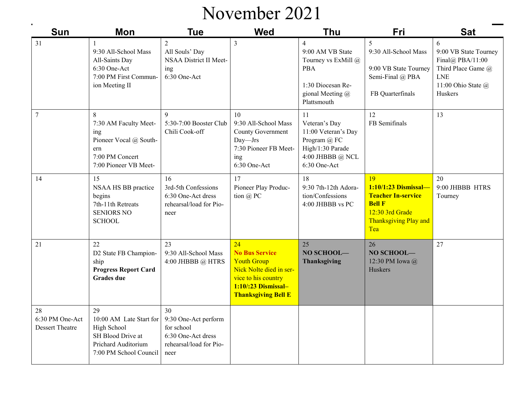#### November 2021

| $\blacksquare$<br><b>Sun</b>                    | Mon                                                                                                                | <b>Tue</b>                                                                                        | <b>Wed</b>                                                                                                                                               | <b>Thu</b>                                                                                                                      | Fri                                                                                                                                | <b>Sat</b>                                                                                                                 |
|-------------------------------------------------|--------------------------------------------------------------------------------------------------------------------|---------------------------------------------------------------------------------------------------|----------------------------------------------------------------------------------------------------------------------------------------------------------|---------------------------------------------------------------------------------------------------------------------------------|------------------------------------------------------------------------------------------------------------------------------------|----------------------------------------------------------------------------------------------------------------------------|
| 31                                              | $\mathbf{1}$<br>9:30 All-School Mass<br>All-Saints Day<br>6:30 One-Act<br>7:00 PM First Commun-<br>ion Meeting II  | $\overline{2}$<br>All Souls' Day<br>NSAA District II Meet-<br>ing<br>6:30 One-Act                 | $\mathfrak{Z}$                                                                                                                                           | $\overline{4}$<br>9:00 AM VB State<br>Tourney vs ExMill @<br><b>PBA</b><br>1:30 Diocesan Re-<br>gional Meeting @<br>Plattsmouth | 5<br>9:30 All-School Mass<br>9:00 VB State Tourney<br>Semi-Final @ PBA<br>FB Quarterfinals                                         | 6<br>9:00 VB State Tourney<br>Final@ PBA/11:00<br>Third Place Game @<br><b>LNE</b><br>11:00 Ohio State $\omega$<br>Huskers |
| $\boldsymbol{7}$                                | 8<br>7:30 AM Faculty Meet-<br>ing<br>Pioneer Vocal @ South-<br>ern<br>7:00 PM Concert<br>7:00 Pioneer VB Meet-     | 9<br>5:30-7:00 Booster Club<br>Chili Cook-off                                                     | 10<br>9:30 All-School Mass<br>County Government<br>Day-Jrs<br>7:30 Pioneer FB Meet-<br>ing<br>6:30 One-Act                                               | 11<br>Veteran's Day<br>11:00 Veteran's Day<br>Program @ FC<br>High/1:30 Parade<br>4:00 JHBBB @ NCL<br>6:30 One-Act              | 12<br>FB Semifinals                                                                                                                | 13                                                                                                                         |
| 14                                              | 15<br>NSAA HS BB practice<br>begins<br>7th-11th Retreats<br><b>SENIORS NO</b><br><b>SCHOOL</b>                     | 16<br>3rd-5th Confessions<br>6:30 One-Act dress<br>rehearsal/load for Pio-<br>neer                | 17<br>Pioneer Play Produc-<br>tion @ PC                                                                                                                  | 18<br>9:30 7th-12th Adora-<br>tion/Confessions<br>4:00 JHBBB vs PC                                                              | 19<br>1:10/1:23 Dismissal-<br><b>Teacher In-service</b><br><b>Bell F</b><br>12:30 3rd Grade<br><b>Thanksgiving Play and</b><br>Tea | 20<br>9:00 JHBBB HTRS<br>Tourney                                                                                           |
| 21                                              | 22<br>D2 State FB Champion-<br>ship<br><b>Progress Report Card</b><br><b>Grades</b> due                            | 23<br>9:30 All-School Mass<br>4:00 JHBBB $@$ HTRS                                                 | 24<br><b>No Bus Service</b><br><b>Youth Group</b><br>Nick Nolte died in ser-<br>vice to his country<br>1:10/:23 Dismissal-<br><b>Thanksgiving Bell E</b> | 25<br>NO SCHOOL-<br><b>Thanksgiving</b>                                                                                         | 26<br>NO SCHOOL-<br>12:30 PM Iowa @<br>Huskers                                                                                     | 27                                                                                                                         |
| 28<br>6:30 PM One-Act<br><b>Dessert Theatre</b> | 29<br>10:00 AM Late Start for<br>High School<br>SH Blood Drive at<br>Prichard Auditorium<br>7:00 PM School Council | 30<br>9:30 One-Act perform<br>for school<br>6:30 One-Act dress<br>rehearsal/load for Pio-<br>neer |                                                                                                                                                          |                                                                                                                                 |                                                                                                                                    |                                                                                                                            |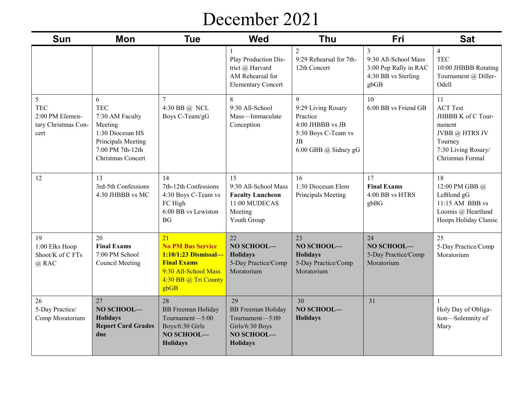#### December 2021

| <b>Sun</b>                                                        | Mon                                                                                                                              | <b>Tue</b>                                                                                                                           | <b>Wed</b>                                                                                             | <b>Thu</b>                                                                                                                | Fri                                                                               | <b>Sat</b>                                                                                                                    |
|-------------------------------------------------------------------|----------------------------------------------------------------------------------------------------------------------------------|--------------------------------------------------------------------------------------------------------------------------------------|--------------------------------------------------------------------------------------------------------|---------------------------------------------------------------------------------------------------------------------------|-----------------------------------------------------------------------------------|-------------------------------------------------------------------------------------------------------------------------------|
|                                                                   |                                                                                                                                  |                                                                                                                                      | Play Production Dis-<br>trict @ Harvard<br>AM Rehearsal for<br><b>Elementary Concert</b>               | $\overline{2}$<br>9:29 Rehearsal for 7th-<br>12th Concert                                                                 | 3<br>9:30 All-School Mass<br>3:00 Pep Rally in RAC<br>4:30 BB vs Sterling<br>gbGB | $\overline{4}$<br><b>TEC</b><br>10:00 JHBBB Rotating<br>Tournament @ Diller-<br>Odell                                         |
| 5<br><b>TEC</b><br>2:00 PM Elemen-<br>tary Christmas Con-<br>cert | 6<br><b>TEC</b><br>7:30 AM Faculty<br>Meeting<br>1:30 Diocesan HS<br>Principals Meeting<br>7:00 PM 7th-12th<br>Christmas Concert | 7<br>4:30 BB @ NCL<br>Boys C-Team/gG                                                                                                 | 8<br>9:30 All-School<br>Mass-Immaculate<br>Conception                                                  | $\mathbf{Q}$<br>9:29 Living Rosary<br>Practice<br>4:00 JHBBB vs JB<br>5:30 Boys C-Team vs<br>JB<br>6:00 GBB $@$ Sidney gG | 10<br>6:00 BB vs Friend GB                                                        | 11<br><b>ACT Test</b><br>JHBBB K of C Tour-<br>nament<br>JVBB @ HTRS JV<br>Tourney<br>7:30 Living Rosary/<br>Christmas Formal |
| 12                                                                | 13<br>3rd-5th Confessions<br>4:30 JHBBB vs MC                                                                                    | 14<br>7th-12th Confessions<br>4:30 Boys C-Team vs<br>FC High<br>6:00 BB vs Lewiston<br><b>BG</b>                                     | 15<br>9:30 All-School Mass<br><b>Faculty Luncheon</b><br>11:00 MUDECAS<br>Meeting<br>Youth Group       | 16<br>1:30 Diocesan Elem<br>Principals Meeting                                                                            | 17<br><b>Final Exams</b><br>4:00 BB vs HTRS<br>gbBG                               | 18<br>12:00 PM GBB @<br>LeBlond gG<br>11:15 AM BBB vs<br>Loomis @ Heartland<br>Hoops Holiday Classic                          |
| 19<br>1:00 Elks Hoop<br>Shoot/K of C FTs<br>$@$ RAC               | 20<br><b>Final Exams</b><br>7:00 PM School<br><b>Council Meeting</b>                                                             | 21<br><b>No PM Bus Service</b><br>1:10/1:23 Dismissal-<br><b>Final Exams</b><br>9:30 All-School Mass<br>4:30 BB @ Tri County<br>gbGB | 22<br>NO SCHOOL-<br><b>Holidays</b><br>5-Day Practice/Comp<br>Moratorium                               | 23<br>NO SCHOOL-<br><b>Holidays</b><br>5-Day Practice/Comp<br>Moratorium                                                  | 24<br>NO SCHOOL-<br>5-Day Practice/Comp<br>Moratorium                             | 25<br>5-Day Practice/Comp<br>Moratorium                                                                                       |
| 26<br>5-Day Practice/<br>Comp Moratorium                          | 27<br>NO SCHOOL-<br><b>Holidays</b><br><b>Report Card Grades</b><br>due                                                          | 28<br><b>BB</b> Freeman Holiday<br>Tournament-5:00<br>Boys/6:30 Girls<br>NO SCHOOL-<br><b>Holidays</b>                               | 29<br><b>BB</b> Freeman Holiday<br>Tournament-5:00<br>Girls/6:30 Boys<br>NO SCHOOL-<br><b>Holidays</b> | 30<br>NO SCHOOL-<br><b>Holidays</b>                                                                                       | 31                                                                                | Holy Day of Obliga-<br>tion-Solemnity of<br>Mary                                                                              |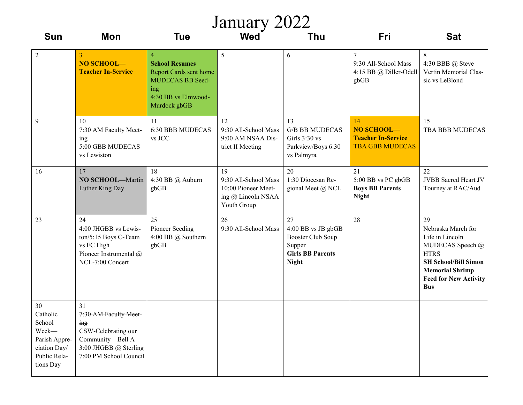| January 2022                                                                                    |                                                                                                                                  |                                                                                                                                     |                                                                                        |                                                                                                    |                                                                         |                                                                                                                                                                                       |  |  |  |
|-------------------------------------------------------------------------------------------------|----------------------------------------------------------------------------------------------------------------------------------|-------------------------------------------------------------------------------------------------------------------------------------|----------------------------------------------------------------------------------------|----------------------------------------------------------------------------------------------------|-------------------------------------------------------------------------|---------------------------------------------------------------------------------------------------------------------------------------------------------------------------------------|--|--|--|
| <b>Sun</b>                                                                                      | Mon                                                                                                                              | <b>Tue</b>                                                                                                                          | <b>Wed</b>                                                                             | <b>Thu</b>                                                                                         | Fri                                                                     | <b>Sat</b>                                                                                                                                                                            |  |  |  |
| $\overline{2}$                                                                                  | 3<br>NO SCHOOL-<br><b>Teacher In-Service</b>                                                                                     | $\overline{4}$<br><b>School Resumes</b><br>Report Cards sent home<br>MUDECAS BB Seed-<br>ing<br>4:30 BB vs Elmwood-<br>Murdock gbGB | 5                                                                                      | 6                                                                                                  | $\tau$<br>9:30 All-School Mass<br>4:15 BB @ Diller-Odell<br>gbGB        | 8<br>4:30 BBB @ Steve<br>Vertin Memorial Clas-<br>sic vs LeBlond                                                                                                                      |  |  |  |
| 9                                                                                               | 10<br>7:30 AM Faculty Meet-<br>ing<br>5:00 GBB MUDECAS<br>vs Lewiston                                                            | 11<br><b>6:30 BBB MUDECAS</b><br>vs JCC                                                                                             | 12<br>9:30 All-School Mass<br>9:00 AM NSAA Dis-<br>trict II Meeting                    | 13<br><b>G/B BB MUDECAS</b><br>Girls $3:30$ vs<br>Parkview/Boys 6:30<br>vs Palmyra                 | 14<br>NO SCHOOL-<br><b>Teacher In-Service</b><br><b>TBA GBB MUDECAS</b> | 15<br><b>TBA BBB MUDECAS</b>                                                                                                                                                          |  |  |  |
| 16                                                                                              | 17<br>NO SCHOOL-Martin<br>Luther King Day                                                                                        | 18<br>4:30 BB @ Auburn<br>gbGB                                                                                                      | 19<br>9:30 All-School Mass<br>10:00 Pioneer Meet-<br>ing @ Lincoln NSAA<br>Youth Group | 20<br>1:30 Diocesan Re-<br>gional Meet @ NCL                                                       | 21<br>5:00 BB vs PC gbGB<br><b>Boys BB Parents</b><br><b>Night</b>      | 22<br><b>JVBB</b> Sacred Heart JV<br>Tourney at RAC/Aud                                                                                                                               |  |  |  |
| 23                                                                                              | 24<br>4:00 JHGBB vs Lewis-<br>ton/5:15 Boys C-Team<br>vs FC High<br>Pioneer Instrumental @<br>NCL-7:00 Concert                   | 25<br>Pioneer Seeding<br>4:00 BB @ Southern<br>gbGB                                                                                 | 26<br>9:30 All-School Mass                                                             | 27<br>4:00 BB vs JB gbGB<br>Booster Club Soup<br>Supper<br><b>Girls BB Parents</b><br><b>Night</b> | 28                                                                      | 29<br>Nebraska March for<br>Life in Lincoln<br>MUDECAS Speech @<br><b>HTRS</b><br><b>SH School/Bill Simon</b><br><b>Memorial Shrimp</b><br><b>Feed for New Activity</b><br><b>Bus</b> |  |  |  |
| 30<br>Catholic<br>School<br>Week-<br>Parish Appre-<br>ciation Day/<br>Public Rela-<br>tions Day | 31<br>7:30 AM Faculty Meet-<br>ing<br>CSW-Celebrating our<br>Community-Bell A<br>3:00 JHGBB @ Sterling<br>7:00 PM School Council |                                                                                                                                     |                                                                                        |                                                                                                    |                                                                         |                                                                                                                                                                                       |  |  |  |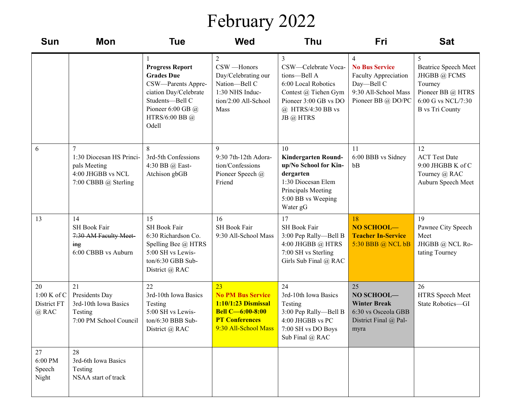## February 2022

| <b>Sun</b>                                | <b>Mon</b>                                                                                 | <b>Tue</b>                                                                                                                                                        | <b>Wed</b>                                                                                                                          | Thu                                                                                                                                                  | Fri                                                                                                       | <b>Sat</b>                                                                                                                |
|-------------------------------------------|--------------------------------------------------------------------------------------------|-------------------------------------------------------------------------------------------------------------------------------------------------------------------|-------------------------------------------------------------------------------------------------------------------------------------|------------------------------------------------------------------------------------------------------------------------------------------------------|-----------------------------------------------------------------------------------------------------------|---------------------------------------------------------------------------------------------------------------------------|
|                                           |                                                                                            | <b>Progress Report</b><br><b>Grades Due</b><br>CSW-Parents Appre-<br>ciation Day/Celebrate<br>Students-Bell C<br>Pioneer 6:00 GB $@$<br>HTRS/6:00 BB $@$<br>Odell | 2<br>CSW-Honors<br>Day/Celebrating our<br>Nation-Bell C<br>1:30 NHS Induc-<br>tion/2:00 All-School<br>Mass                          | 3<br>CSW-Celebrate Voca-<br>tions-Bell A<br>6:00 Local Robotics<br>Contest @ Tiehen Gym<br>Pioneer 3:00 GB vs DO<br>@ HTRS/4:30 BB vs<br>JB @ HTRS   | <b>No Bus Service</b><br>Faculty Appreciation<br>Day-Bell C<br>9:30 All-School Mass<br>Pioneer BB @ DO/PC | 5<br>Beatrice Speech Meet<br>JHGBB @ FCMS<br>Tourney<br>Pioneer BB @ HTRS<br>6:00 G vs NCL/7:30<br><b>B</b> vs Tri County |
| 6                                         | 7<br>1:30 Diocesan HS Princi-<br>pals Meeting<br>4:00 JHGBB vs NCL<br>7:00 CBBB @ Sterling | 8<br>3rd-5th Confessions<br>4:30 BB @ East-<br>Atchison gbGB                                                                                                      | 9<br>9:30 7th-12th Adora-<br>tion/Confessions<br>Pioneer Speech @<br>Friend                                                         | 10<br><b>Kindergarten Round-</b><br>up/No School for Kin-<br>dergarten<br>1:30 Diocesan Elem<br>Principals Meeting<br>5:00 BB vs Weeping<br>Water gG | <sup>11</sup><br>6:00 BBB vs Sidney<br>bB                                                                 | 12<br><b>ACT Test Date</b><br>9:00 JHGBB K of C<br>Tourney @ RAC<br>Auburn Speech Meet                                    |
| 13                                        | 14<br>SH Book Fair<br>7:30 AM Faculty Meet-<br>$\frac{mg}{m}$<br>6:00 CBBB vs Auburn       | 15<br>SH Book Fair<br>6:30 Richardson Co.<br>Spelling Bee @ HTRS<br>5:00 SH vs Lewis-<br>ton/6:30 GBB Sub-<br>District @ RAC                                      | 16<br>SH Book Fair<br>9:30 All-School Mass                                                                                          | 17<br>SH Book Fair<br>3:00 Pep Rally-Bell B<br>4:00 JHGBB @ HTRS<br>7:00 SH vs Sterling<br>Girls Sub Final @ RAC                                     | 18<br>NO SCHOOL-<br><b>Teacher In-Service</b><br>5:30 BBB @ NCL bB                                        | 19<br>Pawnee City Speech<br>Meet<br>JHGBB @ NCL Ro-<br>tating Tourney                                                     |
| 20<br>1:00 K of C<br>District FT<br>@ RAC | 21<br>Presidents Day<br>3rd-10th Iowa Basics<br>Testing<br>7:00 PM School Council          | 22<br>3rd-10th Iowa Basics<br>Testing<br>5:00 SH vs Lewis-<br>ton/6:30 BBB Sub-<br>District @ RAC                                                                 | 23<br><b>No PM Bus Service</b><br>$1:10/1:23$ Dismissal<br><b>Bell C-6:00-8:00</b><br><b>PT Conferences</b><br>9:30 All-School Mass | 24<br>3rd-10th Iowa Basics<br>Testing<br>3:00 Pep Rally-Bell B<br>4:00 JHGBB vs PC<br>7:00 SH vs DO Boys<br>Sub Final @ RAC                          | 25<br>NO SCHOOL-<br><b>Winter Break</b><br>6:30 vs Osceola GBB<br>District Final @ Pal-<br>myra           | 26<br>HTRS Speech Meet<br>State Robotics-GI                                                                               |
| 27<br>6:00 PM<br>Speech<br>Night          | 28<br>3rd-6th Iowa Basics<br>Testing<br>NSAA start of track                                |                                                                                                                                                                   |                                                                                                                                     |                                                                                                                                                      |                                                                                                           |                                                                                                                           |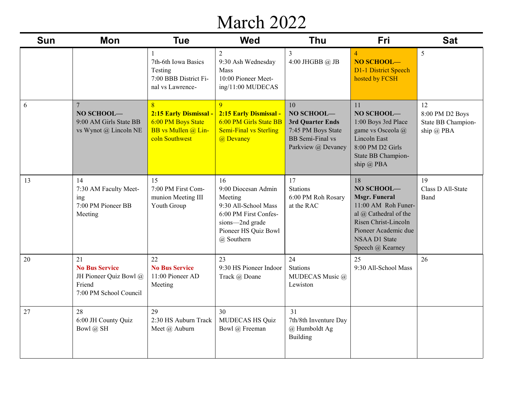#### March 2022

| <b>Sun</b> | <b>Mon</b>                                                                                | <b>Tue</b>                                                                                 | <b>Wed</b>                                                                                                                                     | <b>Thu</b>                                                                                                  | Fri                                                                                                                                                                                  | <b>Sat</b>                                                    |
|------------|-------------------------------------------------------------------------------------------|--------------------------------------------------------------------------------------------|------------------------------------------------------------------------------------------------------------------------------------------------|-------------------------------------------------------------------------------------------------------------|--------------------------------------------------------------------------------------------------------------------------------------------------------------------------------------|---------------------------------------------------------------|
|            |                                                                                           | 7th-6th Iowa Basics<br>Testing<br>7:00 BBB District Fi-<br>nal vs Lawrence-                | $\overline{2}$<br>9:30 Ash Wednesday<br>Mass<br>10:00 Pioneer Meet-<br>ing/11:00 MUDECAS                                                       | $\overline{3}$<br>4:00 JHGBB @ JB                                                                           | $\overline{4}$<br>NO SCHOOL-<br><b>D1-1 District Speech</b><br>hosted by FCSH                                                                                                        | 5                                                             |
| 6          | $\overline{7}$<br>NO SCHOOL-<br>9:00 AM Girls State BB<br>vs Wynot @ Lincoln NE           | 8<br>2:15 Early Dismissal -<br>6:00 PM Boys State<br>BB vs Mullen @ Lin-<br>coln Southwest | $\overline{Q}$<br>2:15 Early Dismissal -<br>6:00 PM Girls State BB<br><b>Semi-Final vs Sterling</b><br>@ Devaney                               | 10<br>NO SCHOOL-<br>3rd Quarter Ends<br>7:45 PM Boys State<br><b>BB</b> Semi-Final vs<br>Parkview @ Devaney | 11<br>NO SCHOOL-<br>1:00 Boys 3rd Place<br>game vs Osceola @<br>Lincoln East<br>8:00 PM D2 Girls<br>State BB Champion-<br>ship @ PBA                                                 | 12<br>8:00 PM D2 Boys<br>State BB Champion-<br>ship $(a)$ PBA |
| 13         | 14<br>7:30 AM Faculty Meet-<br>ing<br>7:00 PM Pioneer BB<br>Meeting                       | 15<br>7:00 PM First Com-<br>munion Meeting III<br>Youth Group                              | 16<br>9:00 Diocesan Admin<br>Meeting<br>9:30 All-School Mass<br>6:00 PM First Confes-<br>sions-2nd grade<br>Pioneer HS Quiz Bowl<br>@ Southern | 17<br><b>Stations</b><br>6:00 PM Roh Rosary<br>at the RAC                                                   | 18<br>NO SCHOOL-<br><b>Msgr. Funeral</b><br>11:00 AM Roh Funer-<br>al @ Cathedral of the<br>Risen Christ-Lincoln<br>Pioneer Academic due<br><b>NSAA D1 State</b><br>Speech @ Kearney | 19<br>Class D All-State<br>Band                               |
| 20         | 21<br><b>No Bus Service</b><br>JH Pioneer Quiz Bowl @<br>Friend<br>7:00 PM School Council | 22<br><b>No Bus Service</b><br>11:00 Pioneer AD<br>Meeting                                 | 23<br>9:30 HS Pioneer Indoor<br>Track @ Doane                                                                                                  | 24<br><b>Stations</b><br>MUDECAS Music @<br>Lewiston                                                        | 25<br>9:30 All-School Mass                                                                                                                                                           | 26                                                            |
| 27         | 28<br>6:00 JH County Quiz<br>Bowl @ SH                                                    | 29<br>2:30 HS Auburn Track<br>Meet @ Auburn                                                | 30<br><b>MUDECAS HS Quiz</b><br>Bowl @ Freeman                                                                                                 | 31<br>7th/8th Inventure Day<br>@ Humboldt Ag<br><b>Building</b>                                             |                                                                                                                                                                                      |                                                               |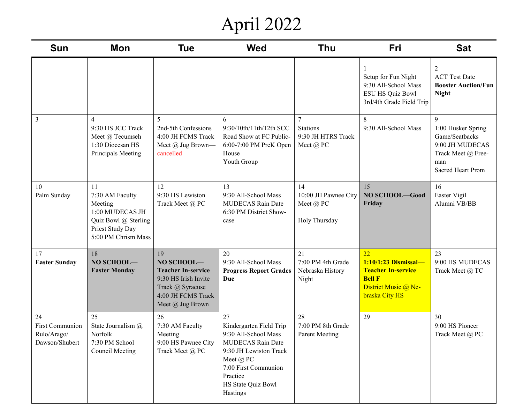# April 2022

| <b>Sun</b>                                             | Mon                                                                                                                    | <b>Tue</b>                                                                                                                          | <b>Wed</b>                                                                                                                                                                               | Thu                                                      | Fri                                                                                                                | <b>Sat</b>                                                                                                            |
|--------------------------------------------------------|------------------------------------------------------------------------------------------------------------------------|-------------------------------------------------------------------------------------------------------------------------------------|------------------------------------------------------------------------------------------------------------------------------------------------------------------------------------------|----------------------------------------------------------|--------------------------------------------------------------------------------------------------------------------|-----------------------------------------------------------------------------------------------------------------------|
|                                                        |                                                                                                                        |                                                                                                                                     |                                                                                                                                                                                          |                                                          | Setup for Fun Night<br>9:30 All-School Mass<br><b>ESU HS Quiz Bowl</b><br>3rd/4th Grade Field Trip                 | $\overline{2}$<br><b>ACT Test Date</b><br><b>Booster Auction/Fun</b><br><b>Night</b>                                  |
| 3                                                      | $\overline{4}$<br>9:30 HS JCC Track<br>Meet @ Tecumseh<br>1:30 Diocesan HS<br>Principals Meeting                       | 5<br>2nd-5th Confessions<br>4:00 JH FCMS Track<br>Meet @ Jug Brown-<br>cancelled                                                    | 6<br>9:30/10th/11th/12th SCC<br>Road Show at FC Public-<br>6:00-7:00 PM PreK Open<br>House<br>Youth Group                                                                                | <b>Stations</b><br>9:30 JH HTRS Track<br>Meet @ PC       | 8<br>9:30 All-School Mass                                                                                          | 9<br>1:00 Husker Spring<br>Game/Seatbacks<br>9:00 JH MUDECAS<br>Track Meet @ Free-<br>man<br><b>Sacred Heart Prom</b> |
| 10<br>Palm Sunday                                      | 11<br>7:30 AM Faculty<br>Meeting<br>1:00 MUDECAS JH<br>Quiz Bowl @ Sterling<br>Priest Study Day<br>5:00 PM Chrism Mass | 12<br>9:30 HS Lewiston<br>Track Meet @ PC                                                                                           | 13<br>9:30 All-School Mass<br><b>MUDECAS Rain Date</b><br>6:30 PM District Show-<br>case                                                                                                 | 14<br>10:00 JH Pawnee City<br>Meet @ PC<br>Holy Thursday | 15<br>NO SCHOOL-Good<br>Friday                                                                                     | 16<br>Easter Vigil<br>Alumni VB/BB                                                                                    |
| 17<br><b>Easter Sunday</b>                             | 18<br>NO SCHOOL-<br><b>Easter Monday</b>                                                                               | 19<br>NO SCHOOL-<br><b>Teacher In-service</b><br>9:30 HS Irish Invite<br>Track @ Syracuse<br>4:00 JH FCMS Track<br>Meet @ Jug Brown | 20<br>9:30 All-School Mass<br><b>Progress Report Grades</b><br>Due                                                                                                                       | 21<br>7:00 PM 4th Grade<br>Nebraska History<br>Night     | 22<br>1:10/1:23 Dismissal-<br><b>Teacher In-service</b><br><b>Bell F</b><br>District Music @ Ne-<br>braska City HS | 23<br>9:00 HS MUDECAS<br>Track Meet @ TC                                                                              |
| 24<br>First Communion<br>Rulo/Arago/<br>Dawson/Shubert | 25<br>State Journalism @<br>Norfolk<br>7:30 PM School<br>Council Meeting                                               | 26<br>7:30 AM Faculty<br>Meeting<br>9:00 HS Pawnee City<br>Track Meet @ PC                                                          | 27<br>Kindergarten Field Trip<br>9:30 All-School Mass<br>MUDECAS Rain Date<br>9:30 JH Lewiston Track<br>Meet @ PC<br>7:00 First Communion<br>Practice<br>HS State Quiz Bowl-<br>Hastings | 28<br>7:00 PM 8th Grade<br>Parent Meeting                | 29                                                                                                                 | 30<br>9:00 HS Pioneer<br>Track Meet @ PC                                                                              |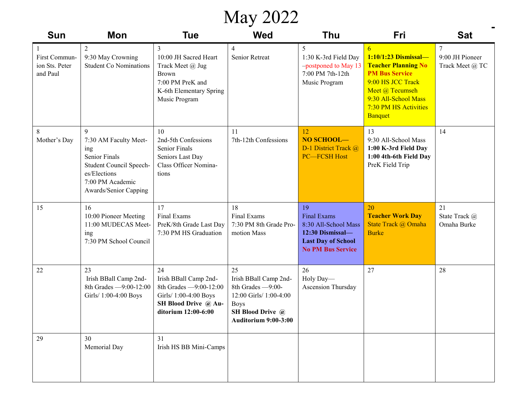#### May 2022

| Sun                                         | <b>Mon</b>                                                                                                                                        | <b>Tue</b>                                                                                                                    | <b>Wed</b>                                                                                                                            | <b>Thu</b>                                                                                                                    | <b>Fri</b>                                                                                                                                                                                  | <b>Sat</b>                                   |
|---------------------------------------------|---------------------------------------------------------------------------------------------------------------------------------------------------|-------------------------------------------------------------------------------------------------------------------------------|---------------------------------------------------------------------------------------------------------------------------------------|-------------------------------------------------------------------------------------------------------------------------------|---------------------------------------------------------------------------------------------------------------------------------------------------------------------------------------------|----------------------------------------------|
| First Commun-<br>ion Sts. Peter<br>and Paul | $\overline{2}$<br>9:30 May Crowning<br><b>Student Co Nominations</b>                                                                              | 3<br>10:00 JH Sacred Heart<br>Track Meet @ Jug<br>Brown<br>7:00 PM PreK and<br>K-6th Elementary Spring<br>Music Program       | 4<br><b>Senior Retreat</b>                                                                                                            | 5<br>1:30 K-3rd Field Day<br>-postponed to May 13<br>7:00 PM 7th-12th<br>Music Program                                        | 6<br>1:10/1:23 Dismissal-<br><b>Teacher Planning No</b><br><b>PM Bus Service</b><br>9:00 HS JCC Track<br>Meet @ Tecumseh<br>9:30 All-School Mass<br>7:30 PM HS Activities<br><b>Banquet</b> | $\tau$<br>9:00 JH Pioneer<br>Track Meet @ TC |
| 8<br>Mother's Day                           | 9<br>7:30 AM Faculty Meet-<br>ing<br><b>Senior Finals</b><br>Student Council Speech-<br>es/Elections<br>7:00 PM Academic<br>Awards/Senior Capping | 10<br>2nd-5th Confessions<br><b>Senior Finals</b><br>Seniors Last Day<br>Class Officer Nomina-<br>tions                       | 11<br>7th-12th Confessions                                                                                                            | 12<br>NO SCHOOL-<br>D-1 District Track @<br><b>PC-FCSH Host</b>                                                               | 13<br>9:30 All-School Mass<br>1:00 K-3rd Field Day<br>1:00 4th-6th Field Day<br>PreK Field Trip                                                                                             | 14                                           |
| 15                                          | 16<br>10:00 Pioneer Meeting<br>11:00 MUDECAS Meet-<br>ing<br>7:30 PM School Council                                                               | 17<br>Final Exams<br>PreK/8th Grade Last Day<br>7:30 PM HS Graduation                                                         | 18<br>Final Exams<br>7:30 PM 8th Grade Pro-<br>motion Mass                                                                            | 19<br><b>Final Exams</b><br>8:30 All-School Mass<br>12:30 Dismissal-<br><b>Last Day of School</b><br><b>No PM Bus Service</b> | 20<br><b>Teacher Work Day</b><br>State Track @ Omaha<br><b>Burke</b>                                                                                                                        | 21<br>State Track @<br>Omaha Burke           |
| 22                                          | 23<br>Irish BBall Camp 2nd-<br>8th Grades -9:00-12:00<br>Girls/ 1:00-4:00 Boys                                                                    | 24<br>Irish BBall Camp 2nd-<br>8th Grades -9:00-12:00<br>Girls/ 1:00-4:00 Boys<br>SH Blood Drive @ Au-<br>ditorium 12:00-6:00 | 25<br>Irish BBall Camp 2nd-<br>8th Grades -9:00-<br>12:00 Girls/ 1:00-4:00<br><b>Boys</b><br>SH Blood Drive @<br>Auditorium 9:00-3:00 | 26<br>Holy Day-<br>Ascension Thursday                                                                                         | 27                                                                                                                                                                                          | 28                                           |
| 29                                          | 30<br>Memorial Day                                                                                                                                | 31<br>Irish HS BB Mini-Camps                                                                                                  |                                                                                                                                       |                                                                                                                               |                                                                                                                                                                                             |                                              |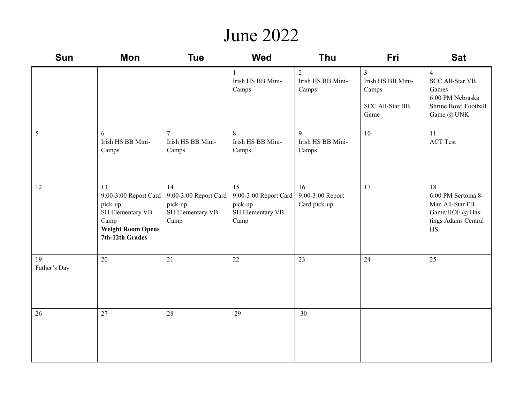#### June 2022

| <b>Sun</b>         | Mon                                                                                                               | <b>Tue</b>                                                         | <b>Wed</b>                                                         | Thu                                          | Fri                                                                            | <b>Sat</b>                                                                                                  |
|--------------------|-------------------------------------------------------------------------------------------------------------------|--------------------------------------------------------------------|--------------------------------------------------------------------|----------------------------------------------|--------------------------------------------------------------------------------|-------------------------------------------------------------------------------------------------------------|
|                    |                                                                                                                   |                                                                    | Irish HS BB Mini-<br>Camps                                         | $\overline{2}$<br>Irish HS BB Mini-<br>Camps | $\overline{3}$<br>Irish HS BB Mini-<br>Camps<br><b>SCC All-Star BB</b><br>Game | $\overline{4}$<br><b>SCC All-Star VB</b><br>Games<br>6:00 PM Nebraska<br>Shrine Bowl Football<br>Game @ UNK |
| 5                  | 6<br>Irish HS BB Mini-<br>Camps                                                                                   | $7\phantom{.0}$<br>Irish HS BB Mini-<br>Camps                      | 8<br>Irish HS BB Mini-<br>Camps                                    | $\mathbf Q$<br>Irish HS BB Mini-<br>Camps    | 10                                                                             | 11<br><b>ACT Test</b>                                                                                       |
| 12                 | 13<br>9:00-3:00 Report Card<br>pick-up<br>SH Elementary VB<br>Camp<br><b>Weight Room Opens</b><br>7th-12th Grades | 14<br>9:00-3:00 Report Card<br>pick-up<br>SH Elementary VB<br>Camp | 15<br>9:00-3:00 Report Card<br>pick-up<br>SH Elementary VB<br>Camp | 16<br>9:00-3:00 Report<br>Card pick-up       | 17                                                                             | 18<br>6:00 PM Sertoma 8-<br>Man All-Star FB<br>Game/HOF @ Has-<br>tings Adams Central<br>$\rm HS$           |
| 19<br>Father's Day | 20                                                                                                                | 21                                                                 | 22                                                                 | 23                                           | 24                                                                             | 25                                                                                                          |
| 26                 | 27                                                                                                                | 28                                                                 | 29                                                                 | 30                                           |                                                                                |                                                                                                             |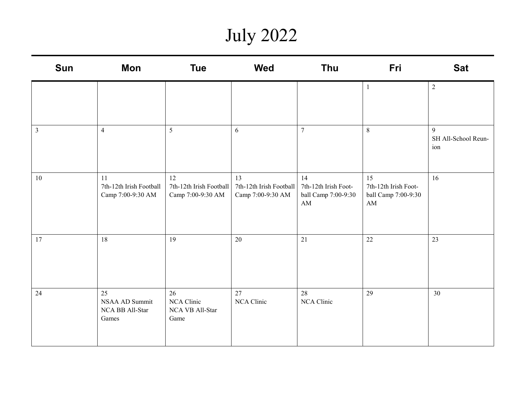## July 2022

| Sun            | Mon                                                | <b>Tue</b>                                         | <b>Wed</b>                                         | Thu                                                                         | Fri                                                             | <b>Sat</b>                      |
|----------------|----------------------------------------------------|----------------------------------------------------|----------------------------------------------------|-----------------------------------------------------------------------------|-----------------------------------------------------------------|---------------------------------|
|                |                                                    |                                                    |                                                    |                                                                             | 1                                                               | $\overline{2}$                  |
| $\mathfrak{Z}$ | $\overline{4}$                                     | 5                                                  | 6                                                  | $7\phantom{.0}$                                                             | 8                                                               | 9<br>SH All-School Reun-<br>ion |
| 10             | 11<br>7th-12th Irish Football<br>Camp 7:00-9:30 AM | 12<br>7th-12th Irish Football<br>Camp 7:00-9:30 AM | 13<br>7th-12th Irish Football<br>Camp 7:00-9:30 AM | 14<br>7th-12th Irish Foot-<br>ball Camp 7:00-9:30<br>$\mathbf{A}\mathbf{M}$ | 15<br>7th-12th Irish Foot-<br>ball Camp 7:00-9:30<br>${\rm AM}$ | 16                              |
| 17             | 18                                                 | 19                                                 | $20\,$                                             | 21                                                                          | 22                                                              | 23                              |
| 24             | 25<br>NSAA AD Summit<br>NCA BB All-Star<br>Games   | 26<br>NCA Clinic<br>NCA VB All-Star<br>Game        | 27<br>NCA Clinic                                   | 28<br>NCA Clinic                                                            | 29                                                              | 30                              |